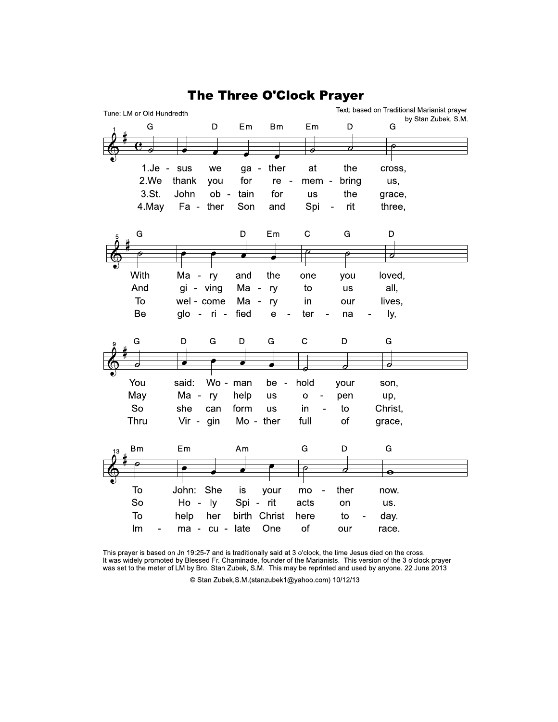

**The Three O'Clock Prayer** 

This prayer is based on Jn 19:25-7 and is traditionally said at 3 o'clock, the time Jesus died on the cross. It was widely promoted by Blessed Fr. Chaminade, founder of the Marianists. This version of the 3 o'clock prayer was set to the meter of LM by Bro. Stan Zubek, S.M. This may be reprinted and used by anyone. 22 June 2013

© Stan Zubek, S.M. (stanzubek1@yahoo.com) 10/12/13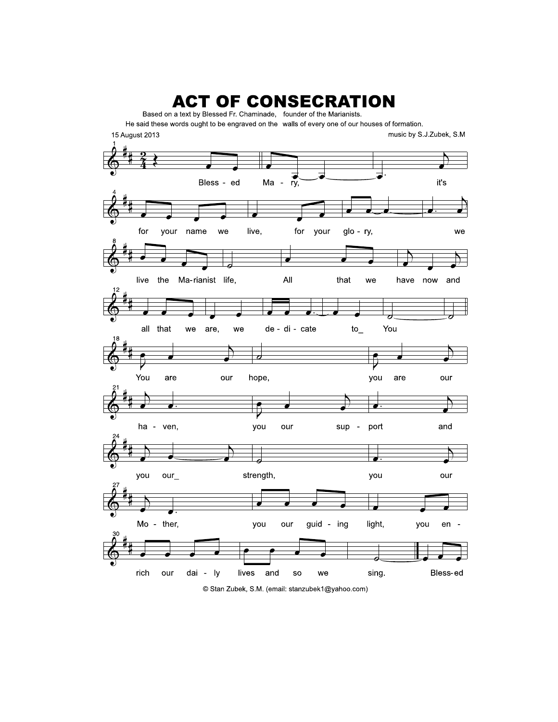

<sup>©</sup> Stan Zubek, S.M. (email: stanzubek1@yahoo.com)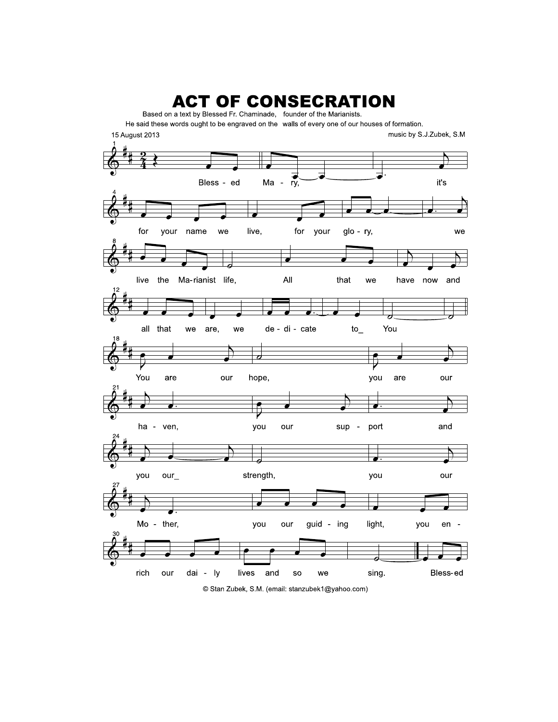

<sup>©</sup> Stan Zubek, S.M. (email: stanzubek1@yahoo.com)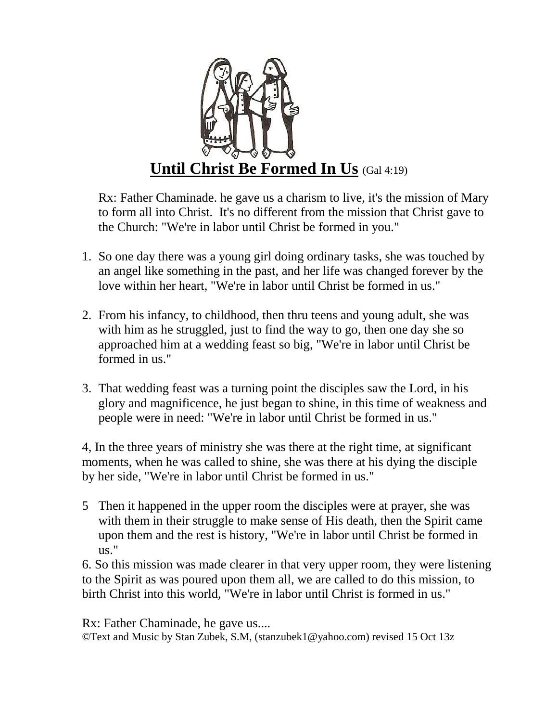

Rx: Father Chaminade. he gave us a charism to live, it's the mission of Mary to form all into Christ. It's no different from the mission that Christ gave to the Church: "We're in labor until Christ be formed in you."

- 1. So one day there was a young girl doing ordinary tasks, she was touched by an angel like something in the past, and her life was changed forever by the love within her heart, "We're in labor until Christ be formed in us."
- 2. From his infancy, to childhood, then thru teens and young adult, she was with him as he struggled, just to find the way to go, then one day she so approached him at a wedding feast so big, "We're in labor until Christ be formed in us."
- 3. That wedding feast was a turning point the disciples saw the Lord, in his glory and magnificence, he just began to shine, in this time of weakness and people were in need: "We're in labor until Christ be formed in us."

4, In the three years of ministry she was there at the right time, at significant moments, when he was called to shine, she was there at his dying the disciple by her side, "We're in labor until Christ be formed in us."

5 Then it happened in the upper room the disciples were at prayer, she was with them in their struggle to make sense of His death, then the Spirit came upon them and the rest is history, "We're in labor until Christ be formed in us."

6. So this mission was made clearer in that very upper room, they were listening to the Spirit as was poured upon them all, we are called to do this mission, to birth Christ into this world, "We're in labor until Christ is formed in us."

Rx: Father Chaminade, he gave us.... ©Text and Music by Stan Zubek, S.M, (stanzubek1@yahoo.com) revised 15 Oct 13z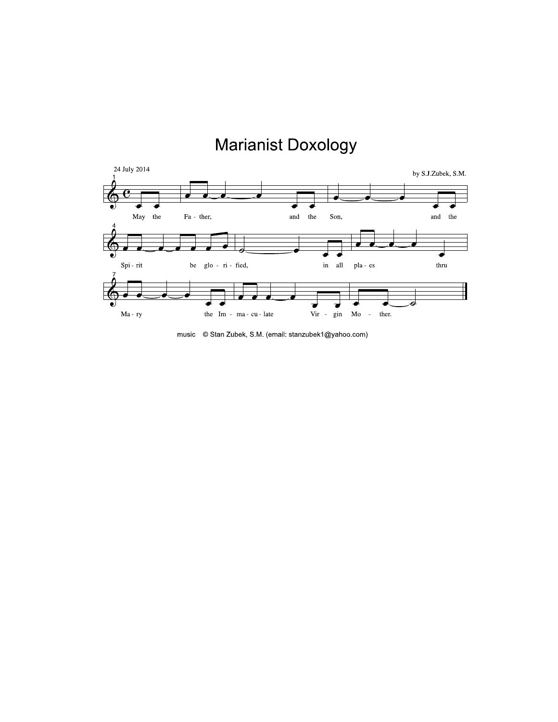## **Marianist Doxology**



music © Stan Zubek, S.M. (email: stanzubek1@yahoo.com)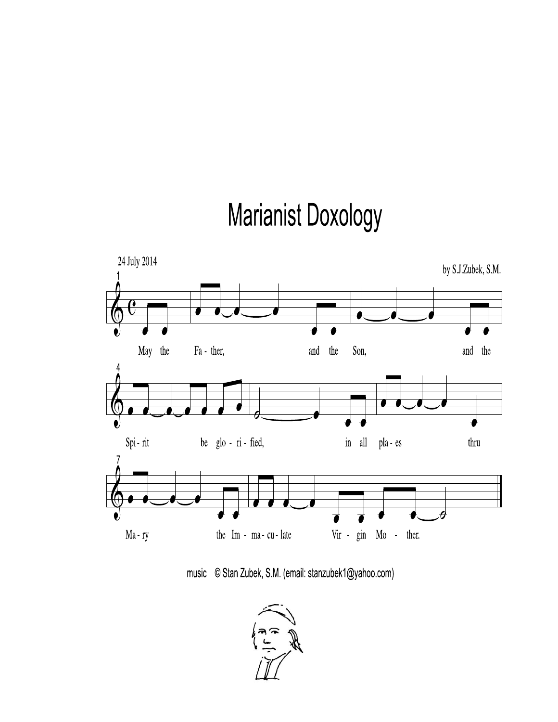## **Marianist Doxology**



music © Stan Zubek, S.M. (email: stanzubek1@yahoo.com)

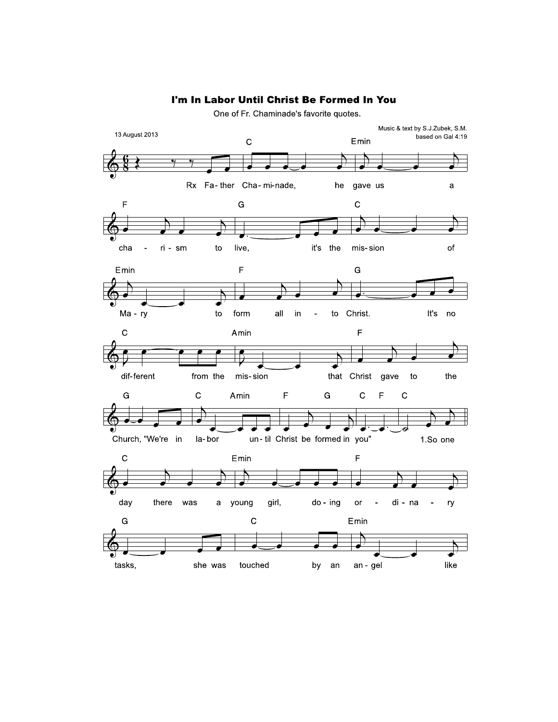## I'm In Labor Until Christ Be Formed In You

One of Fr. Chaminade's favorite quotes.